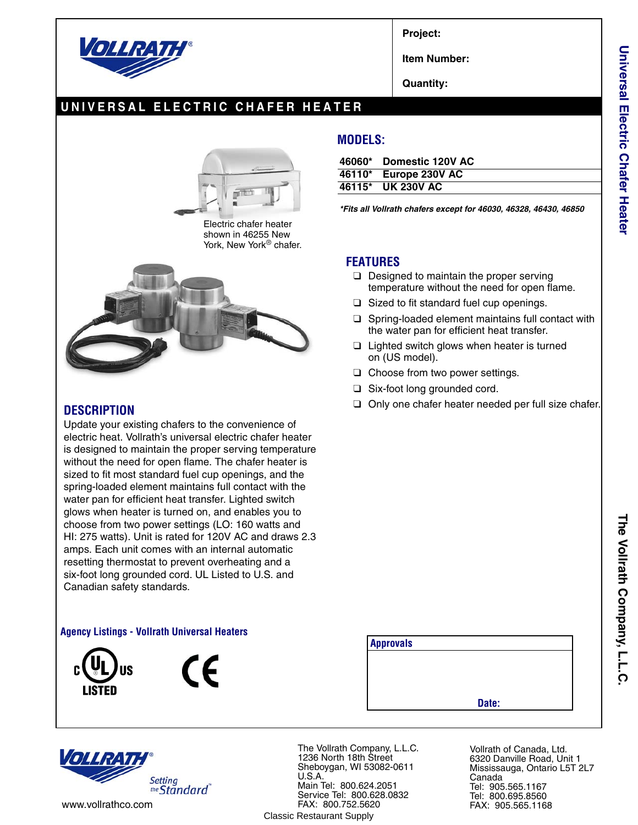

**Project:**

**Item Number:**

**Quantity:**

## **UNIVERSAL ELECTRIC CHAFER HEATER**



Electric chafer heater shown in 46255 New York, New York<sup>®</sup> chafer.



### **DESCRIPTION**

Update your existing chafers to the convenience of electric heat. Vollrath's universal electric chafer heater is designed to maintain the proper serving temperature without the need for open flame. The chafer heater is sized to fit most standard fuel cup openings, and the spring-loaded element maintains full contact with the water pan for efficient heat transfer. Lighted switch glows when heater is turned on, and enables you to choose from two power settings (LO: 160 watts and HI: 275 watts). Unit is rated for 120V AC and draws 2.3 amps. Each unit comes with an internal automatic resetting thermostat to prevent overheating and a six-foot long grounded cord. UL Listed to U.S. and Canadian safety standards.

#### **Agency Listings - Vollrath Universal Heaters**





### **MODELS:**

| 46060* | <b>Domestic 120V AC</b> |
|--------|-------------------------|
| 46110* | <b>Europe 230V AC</b>   |
|        | 46115* UK 230V AC       |

*\*Fits all Vollrath chafers except for 46030, 46328, 46430, 46850*

#### **FEATURES**

- ❑ Designed to maintain the proper serving temperature without the need for open flame.
- ❑ Sized to fit standard fuel cup openings.
- ❑ Spring-loaded element maintains full contact with the water pan for efficient heat transfer.
- ❑ Lighted switch glows when heater is turned on (US model).
- ❑ Choose from two power settings.
- ❑ Six-foot long grounded cord.
- ❑ Only one chafer heater needed per full size chafer.

**The Vollrath Company, L.L.C.**

The Vollrath Company, L.L.C



The Vollrath Company, L.L.C. 1236 North 18th Street Sheboygan, WI 53082-0611 U.S.A. Main Tel: 800.624.2051 Service Tel: 800.628.0832 FAX: 800.752.5620 www.vollrathco.com FAX: 905.565.1168 Classic Restaurant Supply

**Approvals**

Vollrath of Canada, Ltd. 6320 Danville Road, Unit 1 Mississauga, Ontario L5T 2L7 Canada Tel: 905.565.1167 Tel: 800.695.8560

**Date:**